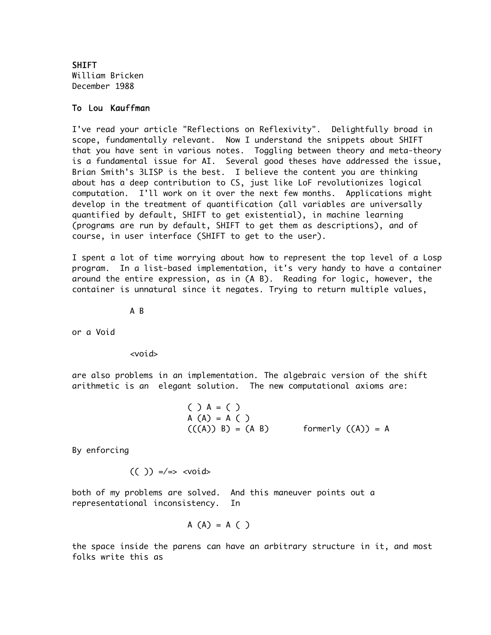SHIFT William Bricken December 1988

## To Lou Kauffman

I've read your article "Reflections on Reflexivity". Delightfully broad in scope, fundamentally relevant. Now I understand the snippets about SHIFT that you have sent in various notes. Toggling between theory and meta-theory is a fundamental issue for AI. Several good theses have addressed the issue, Brian Smith's 3LISP is the best. I believe the content you are thinking about has a deep contribution to CS, just like LoF revolutionizes logical computation. I'll work on it over the next few months. Applications might develop in the treatment of quantification (all variables are universally quantified by default, SHIFT to get existential), in machine learning (programs are run by default, SHIFT to get them as descriptions), and of course, in user interface (SHIFT to get to the user).

I spent a lot of time worrying about how to represent the top level of a Losp program. In a list-based implementation, it's very handy to have a container around the entire expression, as in (A B). Reading for logic, however, the container is unnatural since it negates. Trying to return multiple values,

A B

or a Void

<void>

are also problems in an implementation. The algebraic version of the shift arithmetic is an elegant solution. The new computational axioms are:

( ) A = ( ) A (A) = A ( ) (((A)) B) = (A B) formerly ((A)) = A

By enforcing

 $(( )$   $)\n=/-$ 

both of my problems are solved. And this maneuver points out a representational inconsistency. In

$$
A (A) = A ( )
$$

the space inside the parens can have an arbitrary structure in it, and most folks write this as